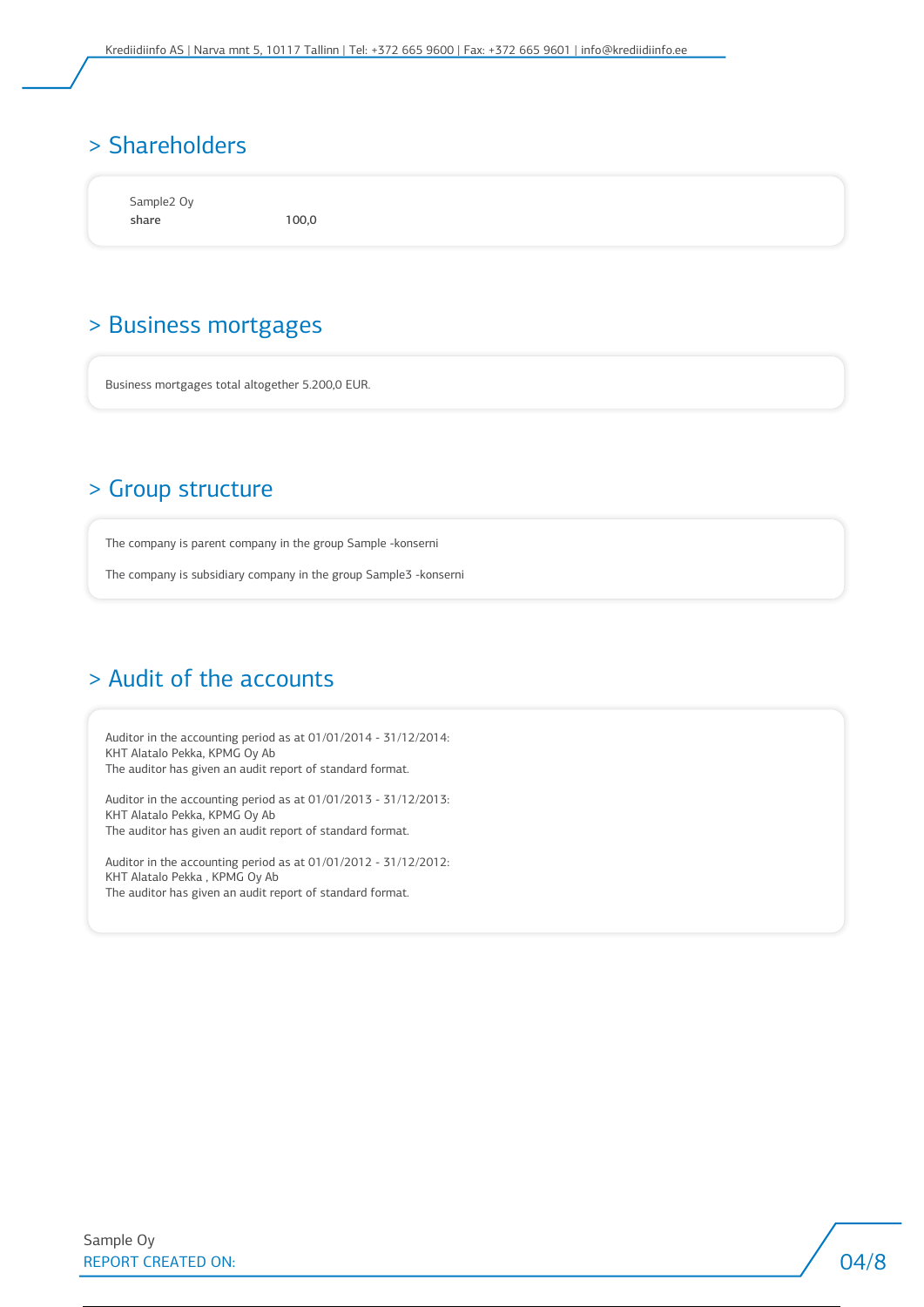## > Shareholders

Sample2 Oy share 100,0

### > Business mortgages

Business mortgages total altogether 5.200,0 EUR.

### > Group structure

The company is parent company in the group Sample -konserni

The company is subsidiary company in the group Sample3 -konserni

## > Audit of the accounts

Auditor in the accounting period as at 01/01/2014 - 31/12/2014: KHT Alatalo Pekka, KPMG Oy Ab The auditor has given an audit report of standard format.

Auditor in the accounting period as at 01/01/2013 - 31/12/2013: KHT Alatalo Pekka, KPMG Oy Ab The auditor has given an audit report of standard format.

Auditor in the accounting period as at 01/01/2012 - 31/12/2012: KHT Alatalo Pekka , KPMG Oy Ab The auditor has given an audit report of standard format.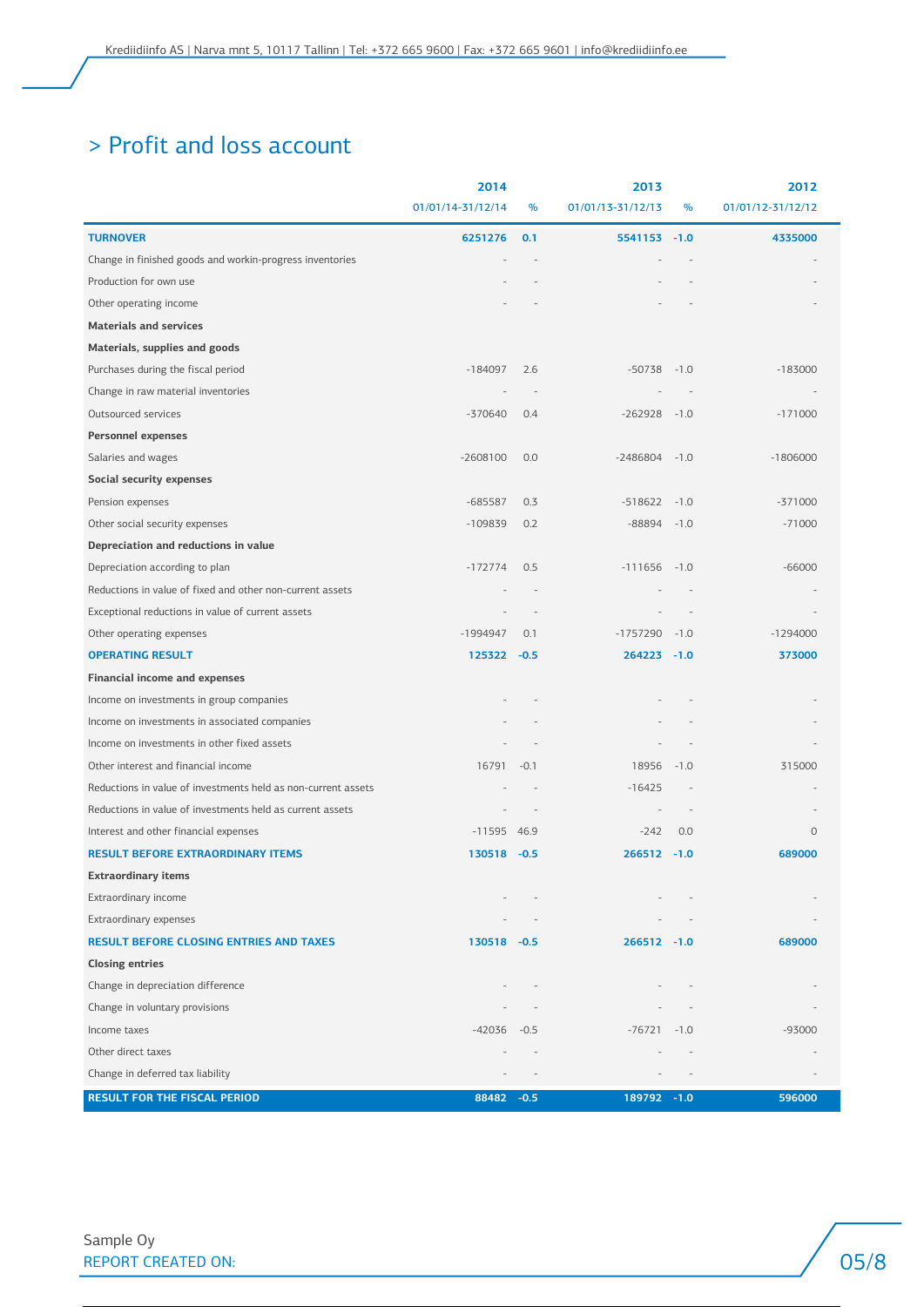## > Profit and loss account

|                                                               | 2014                     |        | 2013              |        | 2012              |
|---------------------------------------------------------------|--------------------------|--------|-------------------|--------|-------------------|
|                                                               | 01/01/14-31/12/14        | $\%$   | 01/01/13-31/12/13 | $\%$   | 01/01/12-31/12/12 |
| <b>TURNOVER</b>                                               | 6251276                  | 0.1    | 5541153 -1.0      |        | 4335000           |
| Change in finished goods and workin-progress inventories      |                          |        |                   |        |                   |
| Production for own use                                        |                          |        |                   |        |                   |
| Other operating income                                        |                          |        |                   |        |                   |
| <b>Materials and services</b>                                 |                          |        |                   |        |                   |
| Materials, supplies and goods                                 |                          |        |                   |        |                   |
| Purchases during the fiscal period                            | $-184097$                | 2.6    | $-50738$          | $-1.0$ | $-183000$         |
| Change in raw material inventories                            | $\overline{\phantom{a}}$ |        |                   |        |                   |
| Outsourced services                                           | $-370640$                | 0.4    | $-262928$         | $-1.0$ | $-171000$         |
| <b>Personnel expenses</b>                                     |                          |        |                   |        |                   |
| Salaries and wages                                            | $-2608100$               | 0.0    | $-2486804$        | $-1.0$ | $-1806000$        |
| Social security expenses                                      |                          |        |                   |        |                   |
| Pension expenses                                              | $-685587$                | 0.3    | $-518622$         | $-1.0$ | $-371000$         |
| Other social security expenses                                | $-109839$                | 0.2    | $-88894$          | $-1.0$ | $-71000$          |
| Depreciation and reductions in value                          |                          |        |                   |        |                   |
| Depreciation according to plan                                | $-172774$                | 0.5    | $-111656$         | $-1.0$ | $-66000$          |
| Reductions in value of fixed and other non-current assets     |                          |        |                   |        |                   |
| Exceptional reductions in value of current assets             |                          |        |                   |        |                   |
| Other operating expenses                                      | $-1994947$               | 0.1    | $-1757290$        | $-1.0$ | $-1294000$        |
| <b>OPERATING RESULT</b>                                       | 125322 -0.5              |        | 264223 -1.0       |        | 373000            |
| <b>Financial income and expenses</b>                          |                          |        |                   |        |                   |
| Income on investments in group companies                      |                          |        |                   |        |                   |
| Income on investments in associated companies                 |                          |        |                   |        |                   |
| Income on investments in other fixed assets                   |                          |        |                   |        |                   |
| Other interest and financial income                           | 16791                    | $-0.1$ | 18956             | $-1.0$ | 315000            |
| Reductions in value of investments held as non-current assets |                          |        | $-16425$          |        |                   |
| Reductions in value of investments held as current assets     |                          |        |                   |        |                   |
| Interest and other financial expenses                         | $-11595$ 46.9            |        | $-242$            | 0.0    | $\circ$           |
| <b>RESULT BEFORE EXTRAORDINARY ITEMS</b>                      | 130518 - 0.5             |        | $266512 -1.0$     |        | 689000            |
| Extraordinary items                                           |                          |        |                   |        |                   |
| Extraordinary income                                          |                          |        |                   |        |                   |
| Extraordinary expenses                                        |                          |        |                   |        |                   |
| <b>RESULT BEFORE CLOSING ENTRIES AND TAXES</b>                | 130518 -0.5              |        | 266512 -1.0       |        | 689000            |
| <b>Closing entries</b>                                        |                          |        |                   |        |                   |
| Change in depreciation difference                             |                          |        |                   |        |                   |
| Change in voluntary provisions                                |                          |        |                   |        |                   |
| Income taxes                                                  | $-42036 -0.5$            |        | $-76721$          | $-1.0$ | -93000            |
| Other direct taxes                                            |                          |        |                   |        |                   |
| Change in deferred tax liability                              |                          |        |                   |        |                   |
| <b>RESULT FOR THE FISCAL PERIOD</b>                           | 88482 - 0.5              |        | 189792 -1.0       |        | 596000            |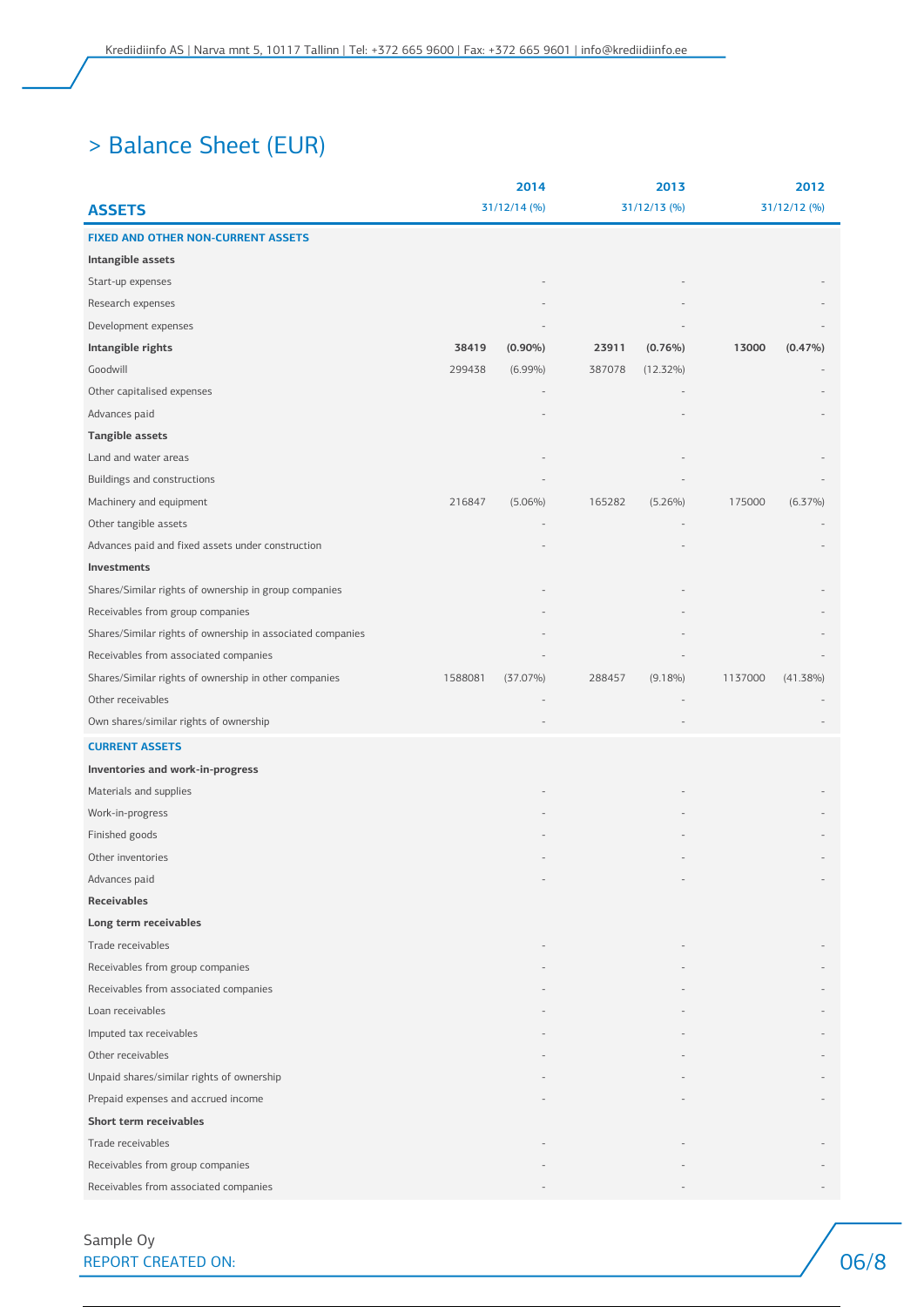## > Balance Sheet (EUR)

|                                                            |              | 2014        |              | 2013        | 2012         |             |
|------------------------------------------------------------|--------------|-------------|--------------|-------------|--------------|-------------|
| <b>ASSETS</b>                                              | 31/12/14 (%) |             | 31/12/13 (%) |             | 31/12/12 (%) |             |
| <b>FIXED AND OTHER NON-CURRENT ASSETS</b>                  |              |             |              |             |              |             |
| Intangible assets                                          |              |             |              |             |              |             |
| Start-up expenses                                          |              |             |              |             |              |             |
| Research expenses                                          |              |             |              |             |              |             |
| Development expenses                                       |              |             |              |             |              |             |
| Intangible rights                                          | 38419        | $(0.90\%)$  | 23911        | $(0.76\%)$  | 13000        | $(0.47\%)$  |
| Goodwill                                                   | 299438       | $(6.99\%)$  | 387078       | $(12.32\%)$ |              |             |
| Other capitalised expenses                                 |              |             |              |             |              |             |
| Advances paid                                              |              |             |              |             |              |             |
| <b>Tangible assets</b>                                     |              |             |              |             |              |             |
| Land and water areas                                       |              |             |              |             |              |             |
| Buildings and constructions                                |              |             |              |             |              |             |
| Machinery and equipment                                    | 216847       | $(5.06\%)$  | 165282       | $(5.26\%)$  | 175000       | $(6.37\%)$  |
| Other tangible assets                                      |              |             |              |             |              |             |
| Advances paid and fixed assets under construction          |              |             |              |             |              |             |
| Investments                                                |              |             |              |             |              |             |
| Shares/Similar rights of ownership in group companies      |              |             |              |             |              |             |
| Receivables from group companies                           |              |             |              |             |              |             |
| Shares/Similar rights of ownership in associated companies |              |             |              |             |              |             |
| Receivables from associated companies                      |              |             |              |             |              |             |
| Shares/Similar rights of ownership in other companies      | 1588081      | $(37.07\%)$ | 288457       | $(9.18\%)$  | 1137000      | $(41.38\%)$ |
| Other receivables                                          |              |             |              |             |              |             |
| Own shares/similar rights of ownership                     |              |             |              |             |              |             |
| <b>CURRENT ASSETS</b>                                      |              |             |              |             |              |             |
| Inventories and work-in-progress                           |              |             |              |             |              |             |
| Materials and supplies                                     |              |             |              |             |              |             |
| Work-in-progress                                           |              |             |              |             |              |             |
| Finished goods                                             |              |             |              |             |              |             |
| Other inventories                                          |              |             |              |             |              |             |
| Advances paid                                              |              |             |              |             |              |             |
| <b>Receivables</b>                                         |              |             |              |             |              |             |
| Long term receivables                                      |              |             |              |             |              |             |
| Trade receivables                                          |              |             |              |             |              |             |
| Receivables from group companies                           |              |             |              |             |              |             |
| Receivables from associated companies                      |              |             |              |             |              |             |
| Loan receivables                                           |              |             |              |             |              |             |
| Imputed tax receivables                                    |              |             |              |             |              |             |
| Other receivables                                          |              |             |              |             |              |             |
| Unpaid shares/similar rights of ownership                  |              |             |              |             |              |             |
| Prepaid expenses and accrued income                        |              |             |              |             |              |             |
| Short term receivables                                     |              |             |              |             |              |             |
| Trade receivables                                          |              |             |              |             |              |             |
| Receivables from group companies                           |              |             |              |             |              |             |
| Receivables from associated companies                      |              |             |              |             |              |             |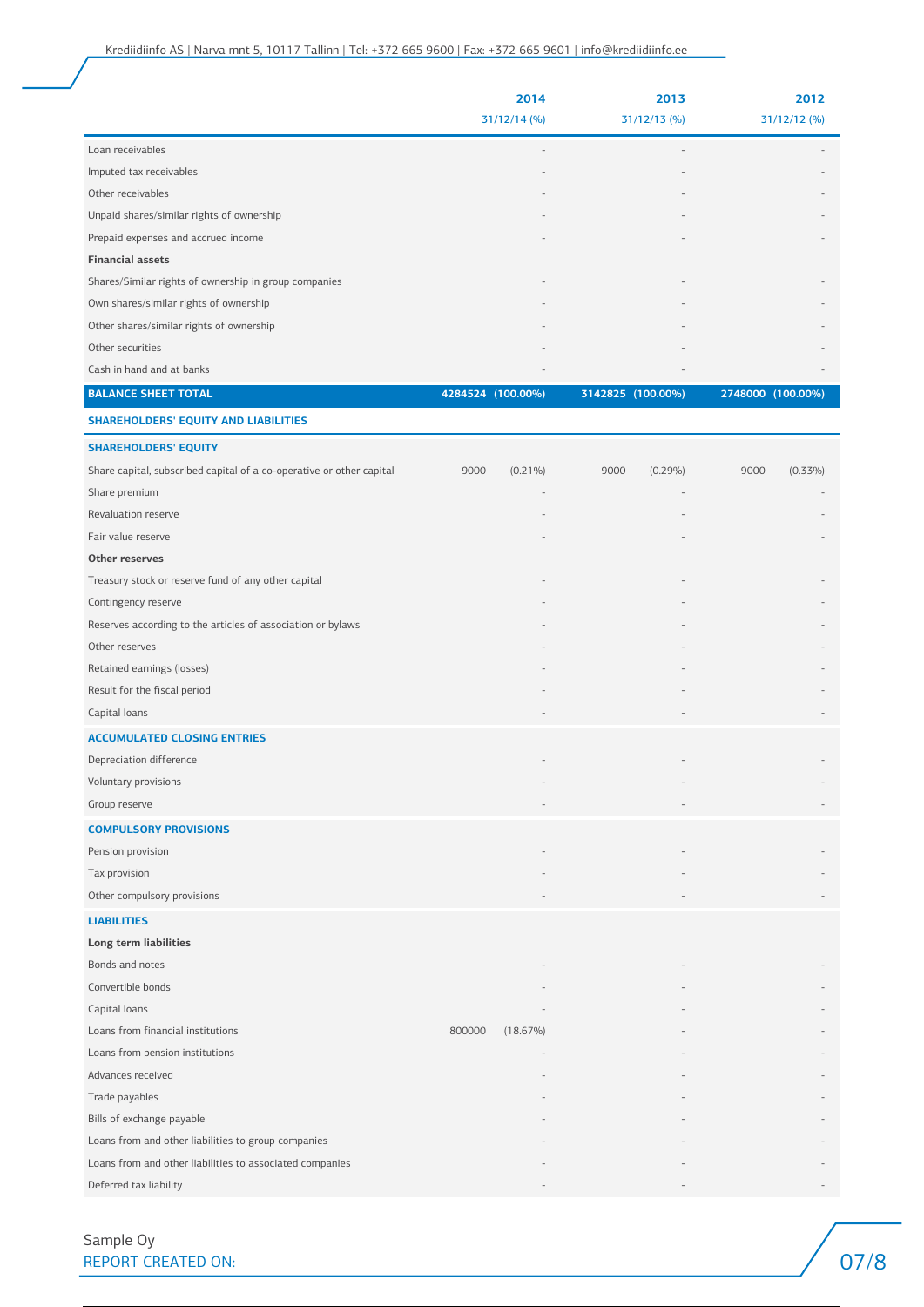#### Creditinfo Eesti AS | Narva mnt 5, 10117 Tallinn | Tel: +372 665 9600 | info@creditinfo.ee

|                                                       | 2014<br>$31/12/14$ (%)   | 2013<br>$31/12/13$ (%)   | 2012<br>$31/12/12$ (%) |
|-------------------------------------------------------|--------------------------|--------------------------|------------------------|
|                                                       |                          |                          |                        |
| Loan receivables                                      | $\overline{\phantom{a}}$ | $\overline{\phantom{a}}$ |                        |
| Imputed tax receivables                               | $\overline{\phantom{a}}$ | $\overline{\phantom{a}}$ |                        |
| Other receivables                                     | $\sim$                   | $\overline{\phantom{a}}$ |                        |
| Unpaid shares/similar rights of ownership             | $\,$ $\,$                | $\overline{\phantom{a}}$ |                        |
| Prepaid expenses and accrued income                   |                          | $\overline{\phantom{a}}$ |                        |
| <b>Financial assets</b>                               |                          |                          |                        |
| Shares/Similar rights of ownership in group companies | $\overline{\phantom{a}}$ | $\qquad \qquad =$        |                        |
| Own shares/similar rights of ownership                |                          | $\overline{\phantom{a}}$ |                        |
| Other shares/similar rights of ownership              | $\sim$                   | $\overline{\phantom{a}}$ |                        |
| Other securities                                      |                          | $\qquad \qquad =$        |                        |
| Cash in hand and at banks                             | $\overline{\phantom{a}}$ | $\overline{\phantom{a}}$ |                        |
| <b>BALANCE SHEET TOTAL</b>                            | 4284524 (100.00%)        | 3142825 (100.00%)        | 2748000 (100.00%)      |

**SHAREHOLDERS' EQUITY AND LIABILITIES**

| <b>SHAREHOLDERS' EQUITY</b>                                          |        |             |      |            |      |            |
|----------------------------------------------------------------------|--------|-------------|------|------------|------|------------|
| Share capital, subscribed capital of a co-operative or other capital | 9000   | $(0.21\%)$  | 9000 | $(0.29\%)$ | 9000 | $(0.33\%)$ |
| Share premium                                                        |        |             |      |            |      |            |
| Revaluation reserve                                                  |        |             |      |            |      |            |
| Fair value reserve                                                   |        |             |      |            |      |            |
| Other reserves                                                       |        |             |      |            |      |            |
| Treasury stock or reserve fund of any other capital                  |        |             |      |            |      |            |
| Contingency reserve                                                  |        |             |      |            |      |            |
| Reserves according to the articles of association or bylaws          |        |             |      |            |      |            |
| Other reserves                                                       |        |             |      |            |      |            |
| Retained earnings (losses)                                           |        |             |      |            |      |            |
| Result for the fiscal period                                         |        |             |      |            |      |            |
| Capital loans                                                        |        |             |      |            |      |            |
| <b>ACCUMULATED CLOSING ENTRIES</b>                                   |        |             |      |            |      |            |
| Depreciation difference                                              |        |             |      |            |      |            |
| Voluntary provisions                                                 |        |             |      |            |      |            |
| Group reserve                                                        |        |             |      |            |      |            |
| <b>COMPULSORY PROVISIONS</b>                                         |        |             |      |            |      |            |
| Pension provision                                                    |        |             |      |            |      |            |
| Tax provision                                                        |        |             |      |            |      |            |
| Other compulsory provisions                                          |        |             |      |            |      |            |
| <b>LIABILITIES</b>                                                   |        |             |      |            |      |            |
| Long term liabilities                                                |        |             |      |            |      |            |
| Bonds and notes                                                      |        |             |      |            |      |            |
| Convertible bonds                                                    |        |             |      |            |      |            |
| Capital loans                                                        |        |             |      |            |      |            |
| Loans from financial institutions                                    | 800000 | $(18.67\%)$ |      |            |      |            |
| Loans from pension institutions                                      |        |             |      |            |      |            |
| Advances received                                                    |        |             |      |            |      |            |
| Trade payables                                                       |        |             |      |            |      |            |
| Bills of exchange payable                                            |        |             |      |            |      |            |
| Loans from and other liabilities to group companies                  |        |             |      |            |      |            |
| Loans from and other liabilities to associated companies             |        |             |      |            |      |            |
| Deferred tax liability                                               |        |             |      |            |      |            |

Sample Oy REPORT CREATED ON: